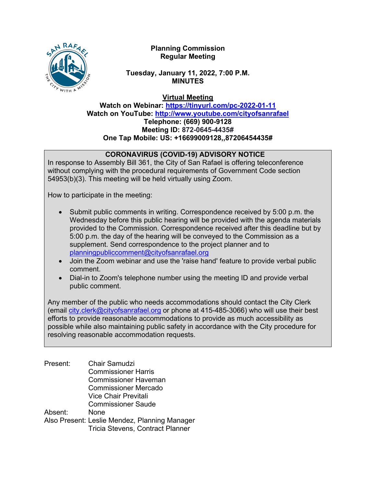

# **Planning Commission Regular Meeting**

# **Tuesday, January 11, 2022, 7:00 P.M. MINUTES**

**Virtual Meeting**

**Watch on Webinar: <https://tinyurl.com/pc-2022-01-11> Watch on YouTube:<http://www.youtube.com/cityofsanrafael> Telephone: (669) 900-9128 Meeting ID: 872-0645-4435# One Tap Mobile: US: +16699009128,,87206454435#**

# **CORONAVIRUS (COVID-19) ADVISORY NOTICE**

In response to Assembly Bill 361, the City of San Rafael is offering teleconference without complying with the procedural requirements of Government Code section 54953(b)(3). This meeting will be held virtually using Zoom.

How to participate in the meeting:

- Submit public comments in writing. Correspondence received by 5:00 p.m. the Wednesday before this public hearing will be provided with the agenda materials provided to the Commission. Correspondence received after this deadline but by 5:00 p.m. the day of the hearing will be conveyed to the Commission as a supplement. Send correspondence to the project planner and to [planningpubliccomment@cityofsanrafael.org](mailto:planningpubliccomment@cityofsanrafael.org)
- Join the Zoom webinar and use the 'raise hand' feature to provide verbal public comment.
- Dial-in to Zoom's telephone number using the meeting ID and provide verbal public comment.

Any member of the public who needs accommodations should contact the City Clerk (email [city.clerk@cityofsanrafael.org](mailto:city.clerk@cityofsanrafael.org) or phone at 415-485-3066) who will use their best efforts to provide reasonable accommodations to provide as much accessibility as possible while also maintaining public safety in accordance with the City procedure for resolving reasonable accommodation requests.

Present: Chair Samudzi Commissioner Harris Commissioner Haveman Commissioner Mercado Vice Chair Previtali Commissioner Saude Absent: None Also Present: Leslie Mendez, Planning Manager Tricia Stevens, Contract Planner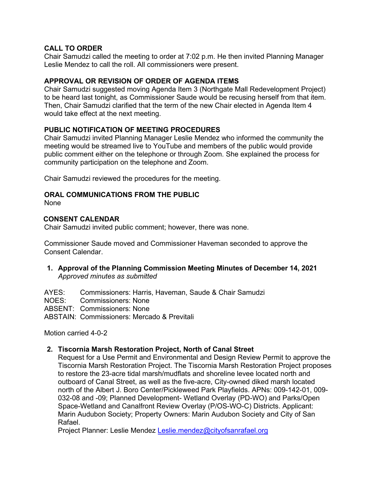## **CALL TO ORDER**

Chair Samudzi called the meeting to order at 7:02 p.m. He then invited Planning Manager Leslie Mendez to call the roll. All commissioners were present.

## **APPROVAL OR REVISION OF ORDER OF AGENDA ITEMS**

Chair Samudzi suggested moving Agenda Item 3 (Northgate Mall Redevelopment Project) to be heard last tonight, as Commissioner Saude would be recusing herself from that item. Then, Chair Samudzi clarified that the term of the new Chair elected in Agenda Item 4 would take effect at the next meeting.

## **PUBLIC NOTIFICATION OF MEETING PROCEDURES**

Chair Samudzi invited Planning Manager Leslie Mendez who informed the community the meeting would be streamed live to YouTube and members of the public would provide public comment either on the telephone or through Zoom. She explained the process for community participation on the telephone and Zoom.

Chair Samudzi reviewed the procedures for the meeting.

## **ORAL COMMUNICATIONS FROM THE PUBLIC**

None

### **CONSENT CALENDAR**

Chair Samudzi invited public comment; however, there was none.

Commissioner Saude moved and Commissioner Haveman seconded to approve the Consent Calendar.

- **1. Approval of the Planning Commission Meeting Minutes of December 14, 2021** *Approved minutes as submitted*
- AYES: Commissioners: Harris, Haveman, Saude & Chair Samudzi

NOES: Commissioners: None

ABSENT: Commissioners: None

ABSTAIN: Commissioners: Mercado & Previtali

Motion carried 4-0-2

### **2. Tiscornia Marsh Restoration Project, North of Canal Street**

Request for a Use Permit and Environmental and Design Review Permit to approve the Tiscornia Marsh Restoration Project. The Tiscornia Marsh Restoration Project proposes to restore the 23-acre tidal marsh/mudflats and shoreline levee located north and outboard of Canal Street, as well as the five-acre, City-owned diked marsh located north of the Albert J. Boro Center/Pickleweed Park Playfields. APNs: 009-142-01, 009- 032-08 and -09; Planned Development- Wetland Overlay (PD-WO) and Parks/Open Space-Wetland and Canalfront Review Overlay (P/OS-WO-C) Districts. Applicant: Marin Audubon Society; Property Owners: Marin Audubon Society and City of San Rafael.

Project Planner: Leslie Mendez [Leslie.mendez@cityofsanrafael.org](mailto:Leslie.mendez@cityofsanrafael.org)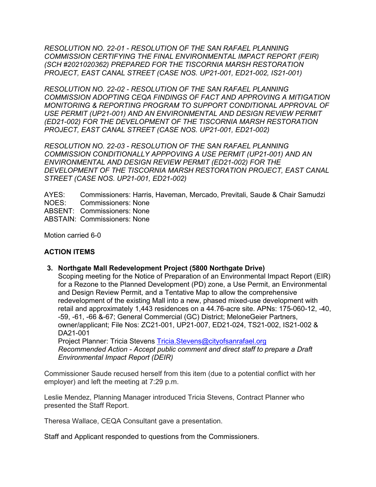*RESOLUTION NO. 22-01 - RESOLUTION OF THE SAN RAFAEL PLANNING COMMISSION CERTIFYING THE FINAL ENVIRONMENTAL IMPACT REPORT (FEIR) (SCH #2021020362) PREPARED FOR THE TISCORNIA MARSH RESTORATION PROJECT, EAST CANAL STREET (CASE NOS. UP21-001, ED21-002, IS21-001)*

*RESOLUTION NO. 22-02 - RESOLUTION OF THE SAN RAFAEL PLANNING COMMISSION ADOPTING CEQA FINDINGS OF FACT AND APPROVING A MITIGATION MONITORING & REPORTING PROGRAM TO SUPPORT CONDITIONAL APPROVAL OF USE PERMIT (UP21-001) AND AN ENVIRONMENTAL AND DESIGN REVIEW PERMIT (ED21-002) FOR THE DEVELOPMENT OF THE TISCORNIA MARSH RESTORATION PROJECT, EAST CANAL STREET (CASE NOS. UP21-001, ED21-002)*

*RESOLUTION NO. 22-03 - RESOLUTION OF THE SAN RAFAEL PLANNING COMMISSION CONDITIONALLY APPPOVING A USE PERMIT (UP21-001) AND AN ENVIRONMENTAL AND DESIGN REVIEW PERMIT (ED21-002) FOR THE DEVELOPMENT OF THE TISCORNIA MARSH RESTORATION PROJECT, EAST CANAL STREET (CASE NOS. UP21-001, ED21-002)*

AYES: Commissioners: Harris, Haveman, Mercado, Previtali, Saude & Chair Samudzi NOES: Commissioners: None ABSENT: Commissioners: None ABSTAIN: Commissioners: None

Motion carried 6-0

# **ACTION ITEMS**

# **3. Northgate Mall Redevelopment Project (5800 Northgate Drive)**

Scoping meeting for the Notice of Preparation of an Environmental Impact Report (EIR) for a Rezone to the Planned Development (PD) zone, a Use Permit, an Environmental and Design Review Permit, and a Tentative Map to allow the comprehensive redevelopment of the existing Mall into a new, phased mixed-use development with retail and approximately 1,443 residences on a 44.76-acre site. APNs: 175-060-12, -40, -59, -61, -66 &-67; General Commercial (GC) District; MeloneGeier Partners, owner/applicant; File Nos: ZC21-001, UP21-007, ED21-024, TS21-002, IS21-002 & DA21-001

Project Planner: Tricia Stevens [Tricia.Stevens@cityofsanrafael.org](mailto:Tricia.Stevens@cityofsanrafael.org) *Recommended Action - Accept public comment and direct staff to prepare a Draft Environmental Impact Report (DEIR)*

Commissioner Saude recused herself from this item (due to a potential conflict with her employer) and left the meeting at 7:29 p.m.

Leslie Mendez, Planning Manager introduced Tricia Stevens, Contract Planner who presented the Staff Report.

Theresa Wallace, CEQA Consultant gave a presentation.

Staff and Applicant responded to questions from the Commissioners.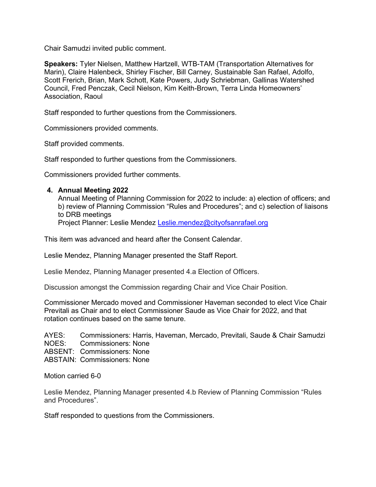Chair Samudzi invited public comment.

**Speakers:** Tyler Nielsen, Matthew Hartzell, WTB-TAM (Transportation Alternatives for Marin), Claire Halenbeck, Shirley Fischer, Bill Carney, Sustainable San Rafael, Adolfo, Scott Frerich, Brian, Mark Schott, Kate Powers, Judy Schriebman, Gallinas Watershed Council, Fred Penczak, Cecil Nielson, Kim Keith-Brown, Terra Linda Homeowners' Association, Raoul

Staff responded to further questions from the Commissioners.

Commissioners provided comments.

Staff provided comments.

Staff responded to further questions from the Commissioners.

Commissioners provided further comments.

#### **4. Annual Meeting 2022**

Annual Meeting of Planning Commission for 2022 to include: a) election of officers; and b) review of Planning Commission "Rules and Procedures"; and c) selection of liaisons to DRB meetings Project Planner: Leslie Mendez [Leslie.mendez@cityofsanrafael.org](mailto:Leslie.mendez@cityofsanrafael.org)

This item was advanced and heard after the Consent Calendar.

Leslie Mendez, Planning Manager presented the Staff Report.

Leslie Mendez, Planning Manager presented 4.a Election of Officers.

Discussion amongst the Commission regarding Chair and Vice Chair Position.

Commissioner Mercado moved and Commissioner Haveman seconded to elect Vice Chair Previtali as Chair and to elect Commissioner Saude as Vice Chair for 2022, and that rotation continues based on the same tenure.

AYES: Commissioners: Harris, Haveman, Mercado, Previtali, Saude & Chair Samudzi NOES: Commissioners: None ABSENT: Commissioners: None ABSTAIN: Commissioners: None

Motion carried 6-0

Leslie Mendez, Planning Manager presented 4.b Review of Planning Commission "Rules and Procedures".

Staff responded to questions from the Commissioners.